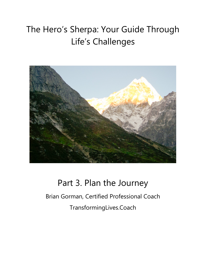# The Hero's Sherpa: Your Guide Through Life's Challenges



## Part 3. Plan the Journey

Brian Gorman, Certified Professional Coach TransformingLives.Coach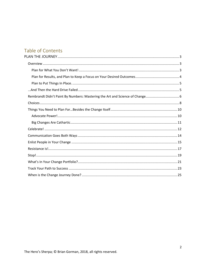## Table of Contents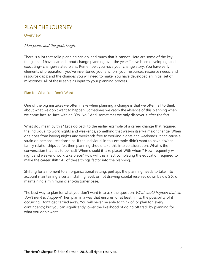## <span id="page-2-0"></span>PLAN THE JOURNEY

#### <span id="page-2-1"></span>Overview

#### Man plans, and the gods laugh.

There is a lot that solid planning can do, and much that it cannot. Here are some of the key things that I have learned about change planning over the years I have been developing–and executing– change-related plans. Remember, you have your change story. You have early elements of preparation: you've inventoried your anchors; your resources, resource needs, and resource gaps; and the changes you will need to make. You have developed an initial set of milestones. All of these serve as input to your planning process.

#### <span id="page-2-2"></span>Plan for What You Don't Want!

One of the big mistakes we often make when planning a change is that we often fail to think about what we don't want to happen. Sometimes we catch the absence of this planning when we come face-to-face with an "Oh, No!" And, sometimes we only discover it after the fact.

What do I mean by this? Let's go back to the earlier example of a career change that required the individual to work nights and weekends, something that was–in itself–a major change. When one goes from having nights and weekends free to working nights and weekends, it can cause a strain on personal relationships. If the individual in this example didn't want to have his/her family relationships suffer, then planning should take this into consideration. What is the conversation that has to be had? When should it take place? With whom? How frequently will night and weekend work take place? How will this affect completing the education required to make the career shift? All of these things factor into the planning.

Shifting for a moment to an organizational setting, perhaps the planning needs to take into account maintaining a certain staffing level, or not drawing capital reserves down below \$ X, or maintaining a minimum client/customer base.

The best way to plan for what you don't want is to ask the question, *What could happen that we* don't want to happen? Then plan in a way that ensures, or at least limits, the possibility of it occurring. Don't get carried away. You will never be able to think of, or plan for, every contingency; but you can significantly lower the likelihood of going off track by planning for what you don't want.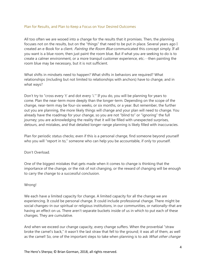#### <span id="page-3-0"></span>Plan for Results, and Plan to Keep a Focus on Your Desired Outcomes

All too often we are wooed into a change for the results that it promises. Then, the planning focuses not on the results, but on the "things" that need to be put in place. Several years ago I created an e-Book for a client. *Painting the Room Blue* communicated this concept simply. If all you want is a blue room, then just paint the room blue. But if what you are seeking to do is to create a calmer environment, or a more tranquil customer experience, etc.…then painting the room blue may be necessary, but it is not sufficient.

What shifts in mindsets need to happen? What shifts in behaviors are required? What relationships (including but not limited to relationships with anchors) have to change, and in what ways?

Don't try to "cross every 't' and dot every 'i.'" If you do, you will be planning for years to come. Plan the near-term more deeply than the longer-term. Depending on the scope of the change, near-term may be four-six weeks, or six months, or a year. But remember, the further out you are planning, the more likely things will change and your plan will need to change. You already have the roadmap for your change, so you are not "blind to" or "ignoring" the full journey; you are acknowledging the reality that it will be filled with unexpected surprises, detours, and mistakes, and that detailed longer-range planning is likely filled with inaccuracies.

Plan for periodic status checks; even if this is a personal change, find someone beyond yourself who you will "report in to," someone who can help you be accountable, if only to yourself.

#### Don't Overload.

One of the biggest mistakes that gets made when it comes to change is thinking that the importance of the change, or the risk of not changing, or the reward of changing will be enough to carry the change to a successful conclusion.

#### Wrong!

We each have a limited capacity for change. A limited capacity for all the change we are experiencing. It could be personal change. It could include professional change. There might be social changes–in our spiritual or religious institutions, in our communities, or nationally–that are having an effect on us. There aren't separate buckets inside of us in which to put each of these changes. They are cumulative.

And when we exceed our change capacity, every change suffers. When the proverbial "straw broke the camel's back," it wasn't the last straw that fell to the ground; it was all of them, as well as the camel! So, one of the important steps to take when planning is to ask What other change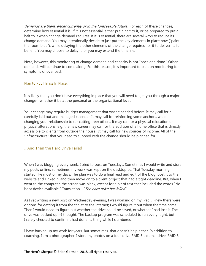demands are there, either currently or in the foreseeable future? For each of these changes, determine how essential it is. If it is not essential, either put a halt to it, or be prepared to put a halt to it when change demand requires. If it is essential, there are several ways to reduce its change demand. You may intentionally decide to just put the key elements in place now ("paint the room blue"), while delaying the other elements of the change required for it to deliver its full benefit. You may choose to delay it; or you may extend the timeline.

Note, however, this monitoring of change demand and capacity is not "once and done." Other demands will continue to come along. For this reason, it is important to plan on monitoring for symptoms of overload.

#### <span id="page-4-0"></span>Plan to Put Things In Place.

It is likely that you don't have everything in place that you will need to get you through a major change…whether it be at the personal or the organizational level.

Your change may require budget management that wasn't needed before. It may call for a carefully laid out and managed calendar. It may call for reinforcing some anchors, while changing your relationship to (or cutting free) others. It may call for a physical relocation or physical alterations (e.g. the new career may call for the addition of a home office that is directly accessible to clients from outside the house). It may call for new sources of income. All of the "infrastructure" that you need to succeed with the change should be planned for.

#### <span id="page-4-1"></span>...And Then the Hard Drive Failed

When I was blogging every week, I tried to post on Tuesdays. Sometimes I would write and store my posts online; sometimes, my work was kept on the desktop pc. That Tuesday morning started like most of my days. The plan was to do a final read and edit of the blog, post it to the website and LinkedIn, and then move on to a client project that had a tight deadline. But, when I went to the computer, the screen was blank, except for a bit of text that included the words "No boot device available." Translation…" The hard drive has failed."

As I sat writing a new post on Wednesday evening, I was working on my iPad. I knew there were options for getting it from the tablet to the internet; I would figure it out when the time came. Then I would need to figure out whether the drive could be saved, or whether I had lost it. The drive was backed up…I thought. The backup program was scheduled to run every night, but I rarely checked to confirm it had done its thing while I slumbered.

I have backed up my work for years. But sometimes, that doesn't help either. In addition to coaching, I am a photographer. I store my photos on a four-drive RAID 5 external drive. RAID 5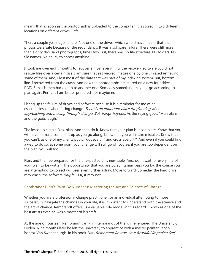means that as soon as the photograph is uploaded to the computer, it is stored in two different locations on different drives. Safe.

Then, a couple years ago, failure! Not one of the drives, which would have meant that the photos were safe because of the redundancy. It was a software failure. There were still more than eighty thousand photographs, times two. But, there was no file structure. No folders. No file names. No ability to access anything.

It took me over eight months to recover almost everything; the recovery software could not rescue files over a certain size. I am sure that as I viewed images one by one I missed retrieving some of them. And, I lost most of the data that was part of my indexing system. But, bottom line, I recovered from the crash. And now the photographs are stored on a new four drive RAID 5 that is then backed up to another one. Someday something may not go according to plan again. Perhaps I am better prepared…or maybe not.

I bring up the failure of drives and software because it is a reminder for me of an essential lesson when facing change. There is an important place for planning when approaching and moving through change. But, things happen. As the saying goes, "Man plans and the gods laugh."

The lesson is simple. Yes, plan. And then do it. Know that your plan is incomplete. Know that you will have to make some of it up as you go along. Know that you will make mistakes. Know that you can't, as one of my clients put it, "dot every 'i' and cross every 't.'" And even if you could find a way to do so, at some point your change will still go off course. if you are too dependent on the plan, you will too.

Plan, and then be prepared for the unexpected. It is inevitable. And, don't wait for every line of your plan to be written. The opportunity that you are pursuing may pass you by; the course you are attempting to correct will veer even further astray. Move forward. Someday the hard drive may crash; the software may fail. Or, it may not.

#### <span id="page-5-0"></span>Rembrandt Didn't Paint By Numbers: Mastering the Art and Science of Change

Whether you are a professional change practitioner, or an individual attempting to more successfully navigate the changes in your life, it is important to understand both the science and the art of change. Rembrandt offers us a valuable role model in this regard. Known as one of the best artists ever, he was a master of his craft.

At the age of fourteen, Rembrandt van Rijn (Rembrandt of the Rhine) entered The University of Leiden. Nine months later he left the university to apprentice with a master painter, Jacob Isaacsz Van Swanenburgh. In his book How Rembrandt Reveals Your Beautiful Imperfect Self,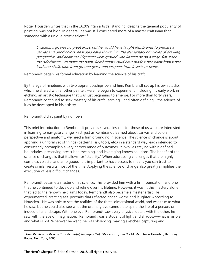Roger Housden writes that in the 1620's, "(an artist's) standing, despite the general popularity of painting, was not high. In general, he was still considered more of a master craftsman than someone with a unique artistic talent."<sup>[1](#page-6-0)</sup>

Swanenburgh was no great artist, but he would have taught Rembrandt to prepare a canvas and grind colors; he would have shown him the elementary principles of drawing, perspective, and anatomy. Pigments were ground with linseed oil on a large, flat stone the grindstone—to make the paint. Rembrandt would have made white paint from white lead and chalk, blue from ground glass, and lacquers from insects or plants.

Rembrandt began his formal education by learning the science of his craft.

By the age of nineteen, with two apprenticeships behind him, Rembrandt set up his own studio, which he shared with another painter. Here he began to experiment, including his early work in etching, an artistic technique that was just beginning to emerge. For more than forty years, Rembrandt continued to seek mastery of his craft, learning—and often defining—the science of it as he developed in his artistry.

Rembrandt didn't paint by numbers.

This brief introduction to Rembrandt provides several lessons for those of us who are interested in learning to navigate change. First, just as Rembrandt learned about canvas and colors, perspective and anatomy, we need a firm grounding in science. The science of change is about applying a uniform set of things (patterns, risk, tools, etc.) in a standard way, each intended to consistently accomplish a very narrow range of outcomes. It involves staying within defined boundaries, preserving prescribed meaning, and leveraging known solutions. The benefit of the science of change is that it allows for "stability." When addressing challenges that are highly complex, volatile, and ambiguous, it is important to have access to means you can trust to create similar results most of the time. Applying the science of change also greatly simplifies the execution of less difficult changes.

Rembrandt became a master of his science. This provided him with a firm foundation, and one that he continued to develop and refine over his lifetime. However, it wasn't this mastery alone that led to the renown he claims today. Rembrandt also became a master artist. He experimented, creating self-portraits that reflected anger, worry, and laughter. According to Housden, "He was able to see the realities of the three-dimensional world, and was true to what he saw; but he could also see what the ordinary eye cannot: the spirit, the life of a person, or indeed of a landscape. With one eye, Rembrandt saw every physical detail; with the other, he saw with the eye of imagination." Rembrandt was a student of light and shadow—what is visible, and what is not. Wherever he went, he was observing, making sketches, capturing and

<span id="page-6-0"></span><sup>&</sup>lt;sup>1</sup> How Rembrandt Reveals Your Beautiful, Imperfect Self: Life Lessons from the Master. Roger Housden, Harmony Books, New York, 2005.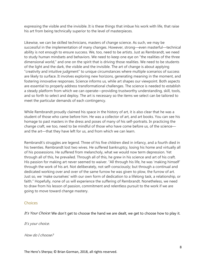expressing the visible and the invisible. It is these things that imbue his work with life, that raise his art from being technically superior to the level of masterpieces.

Likewise, we can be skilled technicians, masters of change science. As such, we may be successful in the implementation of many changes. However, strong—even masterful—technical ability is not enough to ensure success. We, too, need to be artists. Just as Rembrandt, we need to study human mindsets and behaviors. We need to keep one eye on "the realities of the three dimensional world," and one on the spirit that is driving those realities. We need to be students of the light and the dark, the visible and the invisible. The art of change is about applying "creativity and intuitive judgment" to unique circumstances where multiple scenarios of success are likely to surface. It involves exploring new horizons, generating meaning in the moment, and fostering innovative responses. Science informs us, while art shapes our viewpoint. Both aspects are essential to properly address transformational challenges. The science is needed to establish a steady platform from which we can operate—providing trustworthy understanding, skill, tools, and so forth to select and deploy. The art is necessary so the items we select can be tailored to meet the particular demands of each contingency.

While Rembrandt proudly claimed his space in the history of art, it is also clear that he was a student of those who came before him. He was a collector of art, and art books. You can see his homage to past masters in the dress and poses of many of his self-portraits. In practicing the change craft, we too, need to be mindful of those who have come before us, of the science and the art—that they have left for us, and from which we can learn.

Rembrandt's struggles are legend. Three of his five children died in infancy, and a fourth died in his twenties. Rembrandt lost two wives. He suffered bankruptcy, losing his home and virtually all of his possessions. He suffered from melancholy, what we would now term depression. Yet through all of this, he prevailed. Through all of this, he grew in his science and art of his craft. His passion for making art never seemed to waiver. "All through his life, he was 'making himself' through the work of his art. Not deliberately, not self-consciously; but through a continual and dedicated working over and over of the same furrow he was given to plow, the furrow of art. Just so, we 'make ourselves' with our own form of dedication to a lifelong task, a relationship, or faith." Hopefully, none of us will experience the suffering of Rembrandt. Nonetheless, we need to draw from his lesson of passion, commitment and relentless pursuit to the work if we are going to move toward change mastery.

#### <span id="page-7-0"></span>Choices

It's Your Choice: We don't get to choose the hand we are dealt, we get to choose how to play it.

It's your choice.

How do I choose?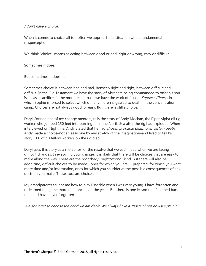#### I don't have a choice.

When it comes to choice, all too often we approach the situation with a fundamental misperception.

We think "choice" means selecting between good or bad, right or wrong, easy or difficult.

Sometimes it does.

But sometimes it doesn't.

Sometimes choice is between bad and bad, between right and right, between difficult and difficult. In the Old Testament we have the story of Abraham being commanded to offer his son Isaac as a sacrifice. In the more recent past, we have the work of fiction, Sophie's Choice, in which Sophie is forced to select which of her children is gassed to death in the concentration camp. Choices are not always good, or easy. But, there is still a choice.

Daryl Conner, one of my change mentors, tells the story of Andy Mochan, the Piper Alpha oil rig worker who jumped 150 feet into burning oil in the North Sea after the rig had exploded. When interviewed on Nightline, Andy stated that he had chosen probable death over certain death. Andy made a choice–not an easy one by any stretch of the imagination–and lived to tell his story. 166 of his fellow workers on the rig died.

Daryl uses this story as a metaphor for the resolve that we each need when we are facing difficult changes. In executing your change, it is likely that there will be choices that are easy to make along the way. These are the "god/bad," "right/wrong" kind. But there will also be agonizing, difficult choices to be made... ones for which you are ill-prepared, for which you want more time and/or information, ones for which you shudder at the possible consequences of any decision you make. These, too, are choices.

My grandparents taught me how to play Pinochle when I was very young. I have forgotten and re-learned the game more than once over the years. But there is one lesson that I learned back then and have never forgotten.

We don't get to choose the hand we are dealt. We always have a choice about how we play it.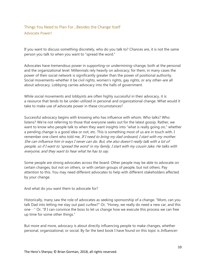### <span id="page-9-1"></span><span id="page-9-0"></span>Things You Need to Plan For…Besides the Change Itself Advocate Power!

If you want to discuss something discretely, who do you talk to? Chances are, it is not the same person you talk to when you want to "spread the word."

Advocates have tremendous power in supporting–or undermining–change, both at the personal and the organizational level. Millennials rely heavily on advocacy; for them, in many cases the power of their social network is significantly greater than the power of positional authority. Social movements–whether it be civil rights, women's rights, gay rights, or any other–are all about advocacy. Lobbying carries advocacy into the halls of government.

While social movements and lobbyists are often highly successful in their advocacy, it is a resource that tends to be under-utilized in personal and organizational change. What would it take to make use of advocate power in these circumstances?

Successful advocacy begins with knowing who has influence with whom. Who talks? Who listens? We're not referring to those that everyone seeks out for the latest gossip. Rather, we want to know who people talk to when they want insights into "what is really going on," whether a pending change is a good idea or not, etc. This is something most of us are in touch with. I remember one client who told me, If I need to bring my dad onboard, I start with my mother. She can influence him in ways I never can do. But, she also doesn't really talk with a lot of people, so if I want to 'spread the word' in my family, I start with my cousin Jake. He talks with everyone, and they want to hear what he has to say.

Some people are strong advocates across the board. Other people may be able to advocate on certain changes, but not on others, or with certain groups of people, but not others. Pay attention to this. You may need different advocates to help with different stakeholders affected by your change.

And what do you want them to advocate for?

Historically, many saw the role of advocates as seeking sponsorship of a change. "Mom, can you talk Dad into letting me stay out past curfew?" Or, "Honey, we really do need a new car, and this one…" Or, "If I can convince the boss to let us change how we execute this process we can free up time for some other things."

But more and more, advocacy is about directly influencing people to make changes, whether personal, organizational, or social. By far the best book I have found on this topic is *Influencer:*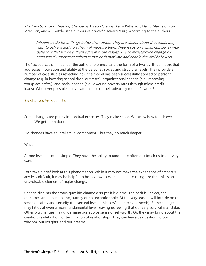The New Science of Leading Change by Joseph Grenny, Kerry Patterson, David Maxfield, Ron McMillan, and Al Switzler (the authors of *Crucial Conversations*). According to the authors,

Influencers do three things better than others. They are clearer about the results they want to achieve and how they will measure them. They focus on a small number of vital behaviors that will help them achieve those results. They overdetermine change by amassing six sources of influence that both motivate and enable the vital behaviors.

The "six sources of influence" the authors reference take the form of a two-by-three matrix that addresses motivation and ability at the personal, social, and structural levels. They provide a number of case studies reflecting how the model has been successfully applied to personal change (e.g. in lowering school drop-out rates), organizational change (e.g. improving workplace safety), and social change (e.g. lowering poverty rates through micro-credit loans). Whenever possible, I advocate the use of their advocacy model. It works!

#### <span id="page-10-0"></span>Big Changes Are Cathartic

Some changes are purely intellectual exercises. They make sense. We know how to achieve them. We get them done.

Big changes have an intellectual component…but they go much deeper.

Why?

At one level it is quite simple. They have the ability to (and quite often do) touch us to our very core.

Let's take a brief look at this phenomenon. While it may not make the experience of catharsis any less difficult, it may be helpful to both know to expect it, and to recognize that this is an unavoidable element of major change.

Change disrupts the status quo; big change disrupts it big time. The path is unclear, the outcomes are uncertain, the journey often uncomfortable. At the very least, it will intrude on our sense of safety and security (the second level in Maslow's hierarchy of needs). Some changes may hit us at even a more fundamental level, leaving us feeling that our very survival is at stake. Other big changes may undermine our ego or sense of self-worth. Or, they may bring about the creation, re-definition, or termination of relationships. They can leave us questioning our wisdom, our insights, and our dreams.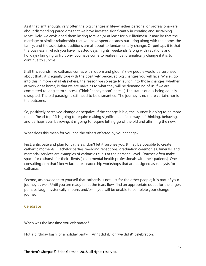As if that isn't enough, very often the big changes in life–whether personal or professional–are about dismantling paradigms that we have invested significantly in creating and sustaining. Most likely, we envisioned them lasting forever (or at least for our lifetimes). It may be that the marriage or similar relationship that you have spent decades nurturing along with the home, the family, and the associated traditions are all about to fundamentally change. Or perhaps it is that the business in which you have invested days, nights, weekends (along with vacations and holidays) bringing to fruition…you have come to realize must dramatically change if it is to continue to survive.

If all this sounds like catharsis comes with "doom and gloom" (few people would be surprised about that), it is equally true with the positively perceived big changes you will face. While I go into this in more detail elsewhere, the reason we so eagerly launch into those changes, whether at work or at home, is that we are naive as to what they will be demanding of us if we are committed to long-term success. (Think "honeymoon" here…) The status quo is being equally disrupted. The old paradigms still need to be dismantled. The journey is no more certain, nor is the outcome.

So, positively perceived change or negative, if the change is big, the journey is going to be more than a "head trip." It is going to require making significant shifts in ways of thinking, behaving, and perhaps even believing; it is going to require letting go of the old and affirming the new.

What does this mean for you and the others affected by your change?

First, anticipate and plan for catharsis; don't let it surprise you. It may be possible to create cathartic moments. Bachelor parties, wedding receptions, graduation ceremonies, funerals, and memorial services are examples of cathartic rituals at the personal level. Coaches often make space for catharsis for their clients (as do mental health professionals with their patients). One consulting firm that I know facilitates leadership workshops that are designed as catalysts for catharsis.

Second, acknowledge to yourself that catharsis is not just for the other people; it is part of your journey as well. Until you are ready to let the tears flow, find an appropriate outlet for the anger, perhaps laugh hysterically, mourn, and/or…, you will be unable to complete your change journey.

#### <span id="page-11-0"></span>Celebrate!

When was the last time you celebrated?

Not a birthday bash, or a holiday party ··· An "I did it," or "we did it" celebration.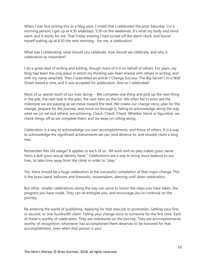When I was first writing this as a blog post, I noted that I celebrated the prior Saturday. I'm a morning person; I get up at 4:30 weekdays, 5:30 on the weekends. It's what my body and mind want, and it works for me. That Friday evening I had turned off the alarm clock, and found myself waking up at 6:30 the next morning…for me, a celebration!

What was I celebrating, what should you celebrate, how should we celebrate, and why is celebration so important?

I do a great deal of writing and editing, though most of it is on behalf of others. For years, my blog had been the only place in which my thinking was been shared with others in writing, and with my name attached. Then I submitted an article ("Change Success: The Big Secret") to a Wall Street-based e-zine, and it was accepted for publication. And so I celebrated!

Most of us spend much of our lives doing  $\cdots$  We complete one thing and pick up the next thing in the pile, the next task in the plan, the next item on the list. We often fail to even see the milestone we are passing as we move toward the next. We create our change story, plan for the change, prepare for the journey, and move on through it, failing to acknowledge along the way what we (or we and others) are achieving. Check. Check. Check. Whether literal or figurative, we check things off as we complete them; and we keep on rolling along.

Celebration is a way to acknowledge our own accomplishments, and those of others. It is a way to acknowledge the significant achievements we can (and deserve to, and should) claim a long way.

Remember this old adage? It applies to each of us. "All work and no play makes (your name here) a dull (your sexual identity here)." Celebrations are a way to bring more balance to our lives, to take time away from the climb in order to "play."

Yes, there should be a huge celebration at the successful completion of that major change. This is the brass band, balloons and fireworks, noisemakers, dancing until dawn celebration.

But other, smaller celebrations along the way can serve to honor the steps you have taken, the progress you have made. They can re-energize you, and encourage you to continue on the journey.

Re-entering the world of publishing. Applying for that new job or promotion. Getting your first, or second, or one hundredth client. Telling your change story to someone for the first time. Each of these is worthy of celebration. They are milestones on the journey. They are accomplishments worthy of recognition; whomever has accomplished them deserves to be honored for that accomplishment, even when that person is you!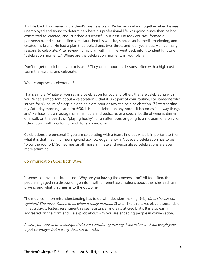A while back I was reviewing a client's business plan. We began working together when he was unemployed and trying to determine where his professional life was going. Since then he had committed to, created, and launched a successful business. He took courses, formed a partnership, and secured clients. He launched his website, started social media marketing, and created his brand. He had a plan that looked one, two, three, and four years out. He had many reasons to celebrate. After reviewing his plan with him, he went back into it to identify future "celebration moments." Where are the celebration moments in your plan?

Don't forget to celebrate your mistakes! They offer important lessons, often with a high cost. Learn the lessons, and celebrate.

What comprises a celebration?

That's simple. Whatever you say is a celebration for you and others that are celebrating with you. What is important about a celebration is that it isn't part of your routine. For someone who strives for six hours of sleep a night, an extra hour or two can be a celebration. If I start setting my Saturday morning alarm for 6:30, it isn't a celebration anymore…It becomes "the way things are." Perhaps it is a massage, or a manicure and pedicure, or a special bottle of wine at dinner, or a walk on the beach, or "playing hooky" for an afternoon, or going to a museum or a play, or sitting down with a coloring book for an hour, or…

Celebrations are personal. If you are celebrating with a team, find out what is important to them, what it is that they find meaning–and acknowledgement–in. Not every celebration has to be "blow the roof off." Sometimes small, more intimate and personalized celebrations are even more affirming.

#### <span id="page-13-0"></span>Communication Goes Both Ways

It seems so obvious…but it's not. Why are you having the conversation? All too often, the people engaged in a discussion go into it with different assumptions about the roles each are playing and what that means to the outcome.

The most common misunderstanding has to do with decision-making. Why does she ask our opinion? She never listens to us when it really matters! Chatter like this takes place thousands of times a day. It fosters resentment, raises resistance, and eats at credibility. It is also easily addressed on the front end. Be explicit about why you are engaging people in conversation.

I want your advice on a change that I am considering making. I will listen, and will weigh your input carefully…but it is my decision to make.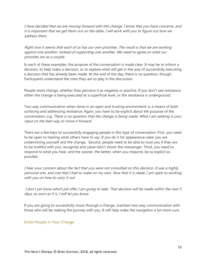I have decided that we are moving forward with this change. I know that you have concerns, and it is important that we get them out on the table. I will work with you to figure out how we address them.

Right now it seems that each of us has our own priorities. The result is that we are working against one another, instead of supporting one another. We need to agree on what our priorities are as a couple.

In each of these examples, the purpose of the conversation is made clear. It may be to inform a decision, to help make a decision, or to explore what will get in the way of successfully executing a decision that has already been made. At the end of the day, there is no question, though. Participants understand the roles they are to play in the discussion.

People resist change, whether they perceive it as negative or positive. If you don't see resistance, either the change is being executed at a superficial level, or the resistance is underground.

Two-way communication–when done in an open and trusting environment–is a means of both surfacing and addressing resistance. Again, you have to be explicit about the purpose of the conversation, e.g. There is no question that the change is being made. What I am seeking is your input on the best way to move it forward.

There are a few keys to successfully engaging people in this type of conversation. First, you need to be open to hearing what others have to say. If you do it for appearance-sake, you are undermining yourself and the change. Second, people need to be able to trust you if they are to be truthful with you; recognize and value–don't shoot–the messenger. Third, you need to respond to what you hear, and the sooner, the better; when you respond, be as explicit as possible.

I hear your concern about the fact that you were not consulted on this decision. It was a highly personal one, and one that I had to make on my own. Now that it is made, I am open to working with you on how to carry it out.

I don't yet know which job offer I am going to take. That decision will be made within the next 5 days; as soon as it is, I will let you know.

If you are going to successfully move through a change, maintain two-way communication with those who will be making the journey with you. It will help make the navigation a lot more sure.

#### <span id="page-14-0"></span>Enlist People in Your Change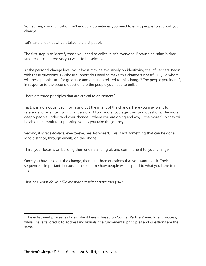Sometimes, communication isn't enough. Sometimes you need to enlist people to support your change.

Let's take a look at what it takes to enlist people.

The first step is to identify those you need to enlist; it isn't everyone. Because enlisting is time (and resource) intensive, you want to be selective.

At the personal change level, your focus may be exclusively on identifying the influencers. Begin with these questions: 1) Whose support do I need to make this change successful? 2) To whom will these people turn for guidance and direction related to this change? The people you identify in response to the second question are the people you need to enlist.

There are three principles that are critical to enlistment<sup>[2](#page-15-0)</sup>.

First, it is a dialogue. Begin by laying out the intent of the change. Here you may want to reference, or even tell, your change story. Allow, and encourage, clarifying questions. The more deeply people understand your change – where you are going and why – the more fully they will be able to commit to supporting you as you take the journey.

Second, it is face-to-face, eye-to-eye, heart-to-heart. This is not something that can be done long distance, through emails, on the phone.

Third, your focus is on building their understanding of, and commitment to, your change.

Once you have laid out the change, there are three questions that you want to ask. Their sequence is important, because it helps frame how people will respond to what you have told them.

First, ask What do you like most about what I have told you?

<span id="page-15-0"></span><sup>&</sup>lt;sup>2</sup> The enlistment process as I describe it here is based on Conner Partners' enrollment process; while I have tailored it to address individuals, the fundamental principles and questions are the same.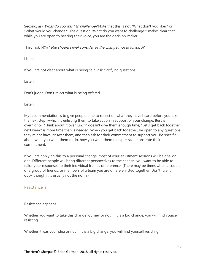Second, ask *What do you want to challenge?* Note that this is not "What don't you like?" or "What would you change?" The question "What do you want to challenge?" makes clear that while you are open to hearing their voice, you are the decision-maker.

Third, ask What else should I (we) consider as the change moves forward?

Listen.

If you are not clear about what is being said, ask clarifying questions.

Listen.

Don't judge. Don't reject what is being offered.

Listen.

My recommendation is to give people time to reflect on what they have heard before you take the next step $\cdots$ which is enlisting them to take action in support of your change. Best is overnight…"Think about it over lunch" doesn't give them enough time; "Let's get back together next week" is more time than is needed. When you get back together, be open to any questions they might have, answer them, and then ask for their commitment to support you. Be specific about what you want them to do, how you want them to express/demonstrate their commitment.

If you are applying this to a personal change, most of your enlistment sessions will be one-onone. Different people will bring different perspectives to the change; you want to be able to tailor your responses to their individual frames of reference. (There may be times when a couple, or a group of friends, or members of a team you are on are enlisted together. Don't rule it out…though it is usually not the norm.)

#### <span id="page-16-0"></span>Resistance is!

Resistance happens.

Whether you want to take this change journey or not, if it is a big change, you will find yourself resisting.

Whether it was your idea or not, if it is a big change, you will find yourself resisting.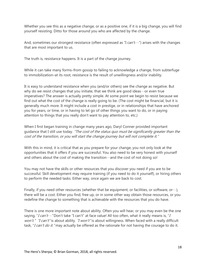Whether you see this as a negative change, or as a positive one, if it is a big change, you will find yourself resisting. Ditto for those around you who are affected by the change.

And, sometimes our strongest resistance (often expressed as "I can't…") arises with the changes that are most important to us.

The truth is, resistance happens. It is a part of the change journey.

While it can take many forms–from gossip to failing to acknowledge a change, from subterfuge to immobilization–at its root, resistance is the result of unwillingness and/or inability.

It is easy to understand resistance when you (and/or others) see the change as negative. But why do we resist changes that you initiate, that we think are good ideas…or even true imperatives? The answer is actually pretty simple. At some point we begin to resist because we find out what the cost of the change is really going to be. (The cost might be financial, but it is generally much more. It might include a cost in prestige, or in relationships that have anchored you for years, or time, or in having to let go of other things you want to do, or in paying attention to things that you really don't want to pay attention to, etc.)

When I first began training in change many years ago, Daryl Conner provided important guidance that I still use today. "The cost of the status quo must be significantly greater than the cost of the transition, or you will start the change journey but will not complete it."

With this in mind, it is critical that as you prepare for your change, you not only look at the opportunities that it offers if you are successful. You also need to be very honest with yourself and others about the cost of making the transition…and the cost of not doing so!

You may not have the skills or other resources that you discover you need if you are to be successful. Skill development may require training (if you need to do it yourself), or hiring others to perform the needed tasks. Either way, once again we are back to cost.

Finally, if you need other resources (whether that be equipment, or facilities, or software, or…), there will be a cost. Either you find, free up, or in some other way obtain those resources, or you redefine the change to something that is achievable with the resources that you do have.

There is one more important note about ability. Often you will hear, or you may even be the one saying, "I can't…" Don't take "I can't" at face value! All too often, what it really means is, "I won't." "I can't" is about ability. "I won't" is about willingness. When faced with a really difficult task, "I can't do it." may actually be offered as the rationale for not having the courage to do it.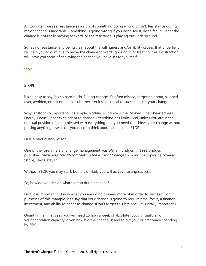All too often, we see resistance as a sign of something going wrong. It isn't. Resistance during major change is inevitable. Something is going wrong if you don't see it, don't feel it. Either the change is not really moving forward, or the resistance is playing out underground.

Surfacing resistance, and being clear about the willingness and/or ability causes that underlie it, will help you to continue to move the change forward. Ignoring it, or treating it as a distraction, will leave you short of achieving the change you have set for yourself.

<span id="page-18-0"></span>Stop!

#### STOP!

It's so easy to say. It's so hard to do. During change it's often missed, forgotten about, skipped over, avoided, or put on the back burner. Yet it's so critical to succeeding at your change.

Why is "stop" so important? It's simple. Nothing is infinite. Time. Money. Open-heartedness. Energy. Focus. Capacity to adapt to change. Everything has limits. And, unless you are in the unusual position of being blessed with everything that you need to achieve your change without putting anything else aside, you need to think about–and act on–STOP.

First, a brief history lesson.

One of the forefathers of change management was William Bridges. In 1991 Bridges published Managing Transitions: Making the Most of Changes. Among the topics he covered: "stops, starts, stays."

Without STOP, you may start, but it is unlikely you will achieve lasting success.

So, how do you decide what to stop during change?

First, it is important to know what you are going to need more of in order to succeed. For purposes of this example, let's say that your change is going to require time, focus, a financial investment, and ability to adapt to change. (Don't forget this last one…it is vitally important!)

Quantify them: let's say you will need 15 hours/week of absolute focus; virtually all of your adaptation capacity, given how big the change is; and to cut your discretionary spending by 25%.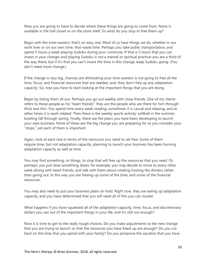Now you are going to have to decide where these things are going to come from. None is available in the hall closet or on the store shelf. So what do you stop to free them up?

Begin with the time-wasters; that's an easy one. Most of us have things we do, whether in our work lives or on our own time, that waste time. Perhaps you take public transportation, and spend 5 hours a week playing Sudoku during your commute. If that is 5 hours that you can invest in your change–and playing Sudoku is not a mental or spiritual practice–you are a third of the way there; but if it's that you can't invest the time in this change, keep Sudoku going. (You don't need more change.)

If the change is very big, chances are eliminating your time-wasters is not going to free all the time, focus, and financial resources that are needed; and, they don't free up any adaptation capacity. So, now you have to start looking at the important things that you are doing.

Begin by listing them all out. Perhaps you go out weekly with close friends. One of my clients refers to these people as his "heart friends;" they are the people who are there for him through thick and thin. You spend time every week reading; sometimes it is casual and relaxing, and at other times it is work-related. Then there is the weekly sports activity: softball in the summer, bowling fall through spring. Finally, there are the plans you have been developing to launch your own business. None of these are the big change you are preparing for as you consider your "stops," yet each of them is important.

Again, look at each one in terms of the resources you need to set free. Some of them require time, but not adaptation capacity; planning to launch your business has been burning adaptation capacity as well as time.

You may find something, or things, to stop that will free up the resources that you need. Or, perhaps, you just slow something down; for example, you may decide to move to every other week dining with heart friends, and talk with them about rotating hosting the dinners rather than going out. In this way you are freeing up some of the time, and some of the financial resources.

You may also need to put your business plans on hold. Right now, they are eating up adaptation capacity, and you have determined that you will need all of this you can muster.

What happens if you have squeezed all of the adaptation capacity, time, focus, and discretionary dollars you can out of the important things in your life, and it's still not enough?

Now it is time to get to the really tough choices. Do you make adjustments to the new change that you are trying to launch so that the resources you have freed up are enough? Do you cut back on the time that you spend with your family? Do you postpone the vacation that you have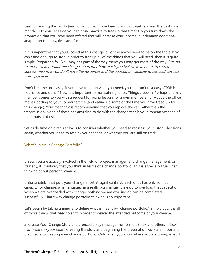been promising the family (and for which you have been planning together) over the past nine months? Do you set aside your spiritual practice to free up that time? Do you turn down the promotion that you have been offered that will increase your income, but demand additional adaptation capacity, time and focus?

If it is imperative that you succeed at this change, all of the above need to be on the table. If you can't find enough to stop in order to free up all of the things that you will need, then it is quite simple. Prepare to fail. You may get part of the way there; you may get most of the way. But, no matter how important the change, no matter how much you believe in it, no matter what success means, if you don't have the resources and the adaptation capacity to succeed, success is not possible.

Don't breathe too easily. If you have freed up what you need, you still can't rest easy. STOP is not "once and done." Now it is important to maintain vigilance. Things creep in. Perhaps a family member comes to you with a request for piano lessons, or a gym membership. Maybe the office moves, adding to your commute time (and eating up some of the time you have freed up for this change). Your mechanic is recommending that you replace the car, rather than the transmission. None of these has anything to do with the change that is your imperative; each of them puts it at risk.

Set aside time on a regular basis to consider whether you need to reassess your "stop" decisions again, whether you need to rethink your change, or whether you are still on track.

#### <span id="page-20-0"></span>What's In Your Change Portfolio?

Unless you are actively involved in the field of project management, change management, or strategy, it is unlikely that you think in terms of a change portfolio. This is especially true when thinking about personal change.

Unfortunately, that puts your change effort at significant risk. Each of us has only so much capacity for change; when engaged in a really big change, it is easy to overload that capacity. When we are overloaded with change, nothing we are working on can be completed successfully. That's why change portfolio thinking is so important.

Let's begin by taking a minute to define what is meant by "change portfolio." Simply put, it is all of those things that need to shift in order to deliver the intended outcome of your change.

In Create Your Change Story, I referenced a key message from Simon Sinek and others  $\cdots$  Start with what's in your heart. Creating the story and beginning the preparation work are important precursors to creating your change portfolio. Only when you know where you are going; what it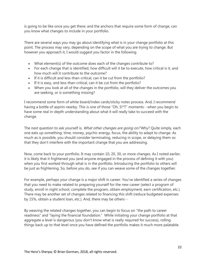is going to be like once you get there; and the anchors that require some form of change, can you know what changes to include in your portfolio.

There are several ways you may go about identifying what is in your change portfolio at this point. The process may vary, depending on the scope of what you are trying to change. But however you approach it, I would suggest you factor in the following.

- What element(s) of the outcome does each of the changes contribute to?
- For each change that is identified, how difficult will it be to execute, how critical is it, and how much will it contribute to the outcome?
- If it is difficult and less-than-critical, can it be cut from the portfolio?
- If it is easy, and less-than-critical, can it be cut from the portfolio?
- When you look at all of the changes in the portfolio, will they deliver the outcomes you are seeking, or is something missing?

I recommend some form of white board/index cards/sticky notes process. And, I recommend having a bottle of aspirin nearby. This is one of those "Oh, S!\*T" moments…when you begin to have some real in-depth understanding about what it will really take to succeed with the change.

The next question to ask yourself is, *What other changes are going on?* Why? Quite simply, each one eats up something: time, money, psychic energy, focus, the ability to adapt to change. As much as is possible, you should consider terminating, reducing in scope, or delaying them so that they don't interfere with the important change that you are addressing.

Now, come back to your portfolio. It may contain 10, 20, 30, or more changes. As I noted earlier, it is likely that it frightened you (and anyone engaged in the process of defining it with you) when you first worked through what is in the portfolio. Introducing the portfolio to others will be just as frightening. So, before you do, see if you can weave some of the changes together.

For example, perhaps your change is a major shift in career. You've identified a series of changes that you need to make related to preparing yourself for the new career (select a program of study, enroll in night school, complete the program, obtain employment, earn certification, etc.). There may be another set of changes related to financing this shift (reduce budgeted expenses by 15%, obtain a student loan, etc.). And, there may be others…

By weaving the related changes together, you can begin to focus on "the path to career readiness" and "laying the financial foundation." While initiating your change portfolio at that aggregate a level is dangerous (you don't know what is really required for success), rolling things back up to that level once you have defined the portfolio makes it much more palatable.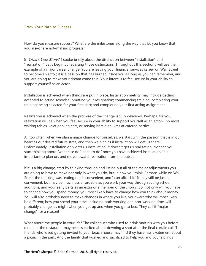#### <span id="page-22-0"></span>Track Your Path to Success

How do you measure success? What are the milestones along the way that let you know that you are–or are not–making progress?

In *What's Your Story?* I spoke briefly about the distinction between "installation" and "realization." Let's begin by revisiting those distinctions. Throughout this section I will use the example of a major career change. You are leaving your financial services career on Wall Street to become an actor; it is a passion that has burned inside you as long as you can remember, and you are going to make your dream come true. Your intent is to feel secure in your ability to support yourself as an actor.

Installation is achieved when things are put in place. Installation metrics may include getting accepted to acting school; submitting your resignation; commencing training; completing your training; being selected for your first part; and completing your first acting assignment.

Realization is achieved when the promise of the change is fully delivered. Perhaps, for you, realization will be when you feel secure in your ability to support yourself as an actor…no more waiting tables, valet parking cars, or serving hors d'oeuvres at catered parties.

All too often, when we plan a major change for ourselves, we start with the passion that is in our heart as our desired future state, and then we plan as if installation will get us there. Unfortunately, installation only gets us installation; it doesn't get us realization. Nor can you start thinking about "what else do I need to do" once you have achieved installation. It is important to plan on, and move toward, realization from the outset.

If it is a big change, start by thinking through and listing out all of the major adjustments you are going to have to make not only in what you do, but in how you think. Perhaps while on Wall Street the thinking was "eating out is convenient, and I can afford it." It may still be just as convenient, but may be much less affordable as you work your way through acting school, auditions, and your early parts as an extra or a member of the chorus. So, not only will you have to change how you spend money, you most likely have to change how you think about money. You will also probably need to make changes in where you live; your wardrobe will most likely be different; how you spend your time–including both working and non-working time–will probably change, as might when you get up and when you go to bed. They call it "major change" for a reason!

What about the people in your life? The colleagues who used to drink martinis with you before dinner at the restaurant may be less excited about downing a shot after the final curtain call. The friends who loved getting invited to your beach house may find they have less excitement about a picnic in the park. And the family that worked and sacrificed to help you and your siblings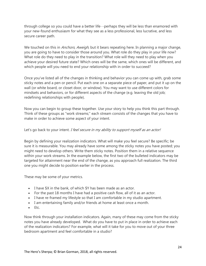through college so you could have a better life…perhaps they will be less than enamored with your new-found enthusiasm for what they see as a less professional, less lucrative, and less secure career path.

We touched on this in *Anchors, Aweigh*, but it bears repeating here. In planning a major change, you are going to have to consider those around you. What role do they play in your life now? What role do they need to play in the transition? What role will they need to play when you achieve your desired future state? Which ones will be the same, which ones will be different, and which people will you need to end your relationship with in order to succeed?

Once you've listed all of the changes in thinking and behavior you can come up with, grab some sticky notes and a pen or pencil. Put each one on a separate piece of paper, and put it up on the wall (or white board, or closet door, or window). You may want to use different colors for mindsets and behaviors, or for different aspects of the change (e.g. leaving the old job; redefining relationships with people).

Now you can begin to group these together. Use your story to help you think this part through. Think of these groups as "work streams;" each stream consists of the changes that you have to make in order to achieve some aspect of your intent.

#### Let's go back to your intent. I feel secure in my ability to support myself as an actor!

Begin by defining your realization indicators. What will make you feel secure? Be specific; be sure it is measurable. You may already have some among the sticky notes you have posted; you might need to develop others. Write them sticky notes. Position them in a relative sequence within your work streams. In the example below, the first two of the bulleted indicators may be targeted for attainment near the end of the change, as you approach full realization. The third one you might decide to position earlier in the process.

These may be some of your metrics.

- I have \$X in the bank, of which \$Y has been made as an actor.
- For the past 18 months I have had a positive cash flow, all of it as an actor.
- I have re-framed my lifestyle so that I am comfortable in my studio apartment.
- I am entertaining family and/or friends at home at least once a month.
- Etc.

Now think through your installation indicators. Again, many of these may come from the sticky notes you have already developed. What do you have to put in place in order to achieve each of the realization indicators? For example, what will it take for you to move out of your three bedroom apartment and feel comfortable in a studio?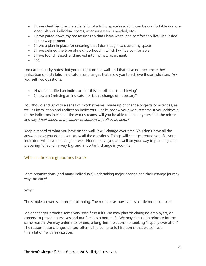- I have identified the characteristics of a living space in which I can be comfortable (a more open plan vs. individual rooms, whether a view is needed, etc.).
- I have pared down my possessions so that I have what I can comfortably live with inside the new apartment.
- I have a plan in place for ensuring that I don't begin to clutter my space.
- I have defined the type of neighborhood in which I will be comfortable.
- I have found, leased, and moved into my new apartment.
- Etc.

Look at the sticky notes that you first put on the wall, and that have not become either realization or installation indicators, or changes that allow you to achieve those indicators. Ask yourself two questions.

- Have I identified an indicator that this contributes to achieving?
- If not, am I missing an indicator, or is this change unnecessary?

You should end up with a series of "work streams" made up of change projects or activities, as well as installation and realization indicators. Finally, review your work streams. If you achieve all of the indicators in each of the work streams, will you be able to look at yourself in the mirror and say, I feel secure in my ability to support myself as an actor?

Keep a record of what you have on the wall. It will change over time. You don't have all the answers now; you don't even know all the questions. Things will change around you. So, your indicators will have to change as well. Nonetheless, you are well on your way to planning, and preparing to launch a very big, and important, change in your life.

#### <span id="page-24-0"></span>When is the Change Journey Done?

Most organizations (and many individuals) undertaking major change end their change journey way too early!

Why?

The simple answer is, improper planning. The root cause, however, is a little more complex.

Major changes promise some very specific results. We may plan on changing employers, or careers, to provide ourselves and our families a better life. We may choose to relocate for the same reason. We may enter into, or end, a long-term relationship, seeking "happily ever after." The reason these changes all-too-often fail to come to full fruition is that we confuse "installation" with "realization."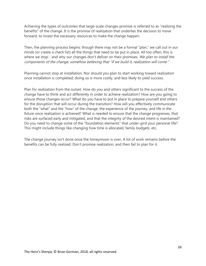Achieving the types of outcomes that large-scale changes promise is referred to as "realizing the benefits" of the change. It is the promise of realization that underlies the decision to move forward, to invest the necessary resources to make the change happen.

Then, the planning process begins; though there may not be a formal "plan," we call out in our minds (or create a check list) all the things that need to be put in place. All too often, this is where we stop …and why our changes don't deliver on their promises. We plan to install the components of the change, somehow believing that "if we build it, realization will come."

Planning cannot stop at installation. Nor should you plan to start working toward realization once installation is completed; doing so is more costly, and less likely to yield success.

Plan for realization from the outset. How do you and others significant to the success of the change have to think and act differently in order to achieve realization? How are you going to ensure those changes occur? What do you have to put in place to prepare yourself and others for the disruption that will occur during the transition? How will you effectively communicate both the "what" and the "how" of the change, the experience of the journey, and life in the future once realization is achieved? What is needed to ensure that the change progresses, that risks are surfaced early and mitigated, and that the integrity of the desired intent is maintained? Do you need to change some of the "foundation elements" that under-gird your personal life? This might include things like changing how time is allocated, family budgets, etc.

The change journey isn't done once the honeymoon is over. A lot of work remains before the benefits can be fully realized. Don't promise realization, and then fail to plan for it.